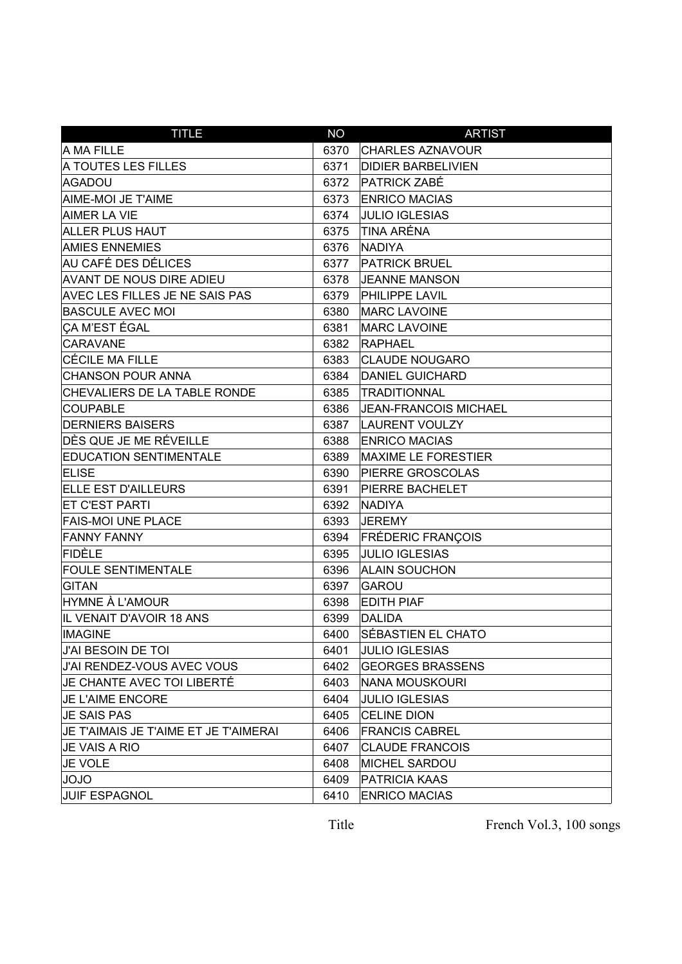| <b>TITLE</b>                          | <b>NO</b> | <b>ARTIST</b>              |
|---------------------------------------|-----------|----------------------------|
| A MA FILLE                            | 6370      | <b>CHARLES AZNAVOUR</b>    |
| A TOUTES LES FILLES                   | 6371      | <b>DIDIER BARBELIVIEN</b>  |
| AGADOU                                | 6372      | <b>PATRICK ZABÉ</b>        |
| AIME-MOI JE T'AIME                    | 6373      | <b>ENRICO MACIAS</b>       |
| AIMER LA VIE                          | 6374      | <b>JULIO IGLESIAS</b>      |
| <b>ALLER PLUS HAUT</b>                | 6375      | TINA ARÉNA                 |
| <b>AMIES ENNEMIES</b>                 | 6376      | <b>NADIYA</b>              |
| AU CAFÉ DES DÉLICES                   | 6377      | <b>PATRICK BRUEL</b>       |
| <b>AVANT DE NOUS DIRE ADIEU</b>       | 6378      | <b>JEANNE MANSON</b>       |
| <b>AVEC LES FILLES JE NE SAIS PAS</b> | 6379      | <b>PHILIPPE LAVIL</b>      |
| <b>BASCULE AVEC MOI</b>               | 6380      | <b>MARC LAVOINE</b>        |
| CA M'EST ÉGAL                         | 6381      | <b>MARC LAVOINE</b>        |
| CARAVANE                              | 6382      | <b>RAPHAEL</b>             |
| CÉCILE MA FILLE                       | 6383      | <b>CLAUDE NOUGARO</b>      |
| <b>CHANSON POUR ANNA</b>              | 6384      | <b>DANIEL GUICHARD</b>     |
| CHEVALIERS DE LA TABLE RONDE          | 6385      | <b>TRADITIONNAL</b>        |
| <b>COUPABLE</b>                       | 6386      | JEAN-FRANCOIS MICHAEL      |
| <b>DERNIERS BAISERS</b>               | 6387      | LAURENT VOULZY             |
| DÈS QUE JE ME RÉVEILLE                | 6388      | <b>ENRICO MACIAS</b>       |
| <b>EDUCATION SENTIMENTALE</b>         | 6389      | <b>MAXIME LE FORESTIER</b> |
| <b>ELISE</b>                          | 6390      | <b>PIERRE GROSCOLAS</b>    |
| <b>ELLE EST D'AILLEURS</b>            | 6391      | <b>PIERRE BACHELET</b>     |
| <b>ET C'EST PARTI</b>                 | 6392      | <b>NADIYA</b>              |
| <b>FAIS-MOI UNE PLACE</b>             | 6393      | <b>JEREMY</b>              |
| <b>FANNY FANNY</b>                    | 6394      | <b>FRÉDERIC FRANÇOIS</b>   |
| FIDÈLE                                | 6395      | <b>JULIO IGLESIAS</b>      |
| <b>FOULE SENTIMENTALE</b>             | 6396      | <b>ALAIN SOUCHON</b>       |
| GITAN                                 | 6397      | <b>GAROU</b>               |
| <b>HYMNE À L'AMOUR</b>                | 6398      | <b>EDITH PIAF</b>          |
| IL VENAIT D'AVOIR 18 ANS              | 6399      | DALIDA                     |
| <b>IMAGINE</b>                        | 6400      | SÉBASTIEN EL CHATO         |
| J'AI BESOIN DE TOI                    | 6401      | <b>JULIO IGLESIAS</b>      |
| J'AI RENDEZ-VOUS AVEC VOUS            | 6402      | <b>GEORGES BRASSENS</b>    |
| JE CHANTE AVEC TOI LIBERTÉ            | 6403      | NANA MOUSKOURI             |
| JE L'AIME ENCORE                      | 6404      | <b>JULIO IGLESIAS</b>      |
| <b>JE SAIS PAS</b>                    | 6405      | <b>CELINE DION</b>         |
| JE T'AIMAIS JE T'AIME ET JE T'AIMERAI | 6406      | <b>FRANCIS CABREL</b>      |
| JE VAIS A RIO                         | 6407      | <b>CLAUDE FRANCOIS</b>     |
| <b>JE VOLE</b>                        | 6408      | <b>MICHEL SARDOU</b>       |
| OLOL                                  | 6409      | <b>PATRICIA KAAS</b>       |
| <b>JUIF ESPAGNOL</b>                  | 6410      | <b>ENRICO MACIAS</b>       |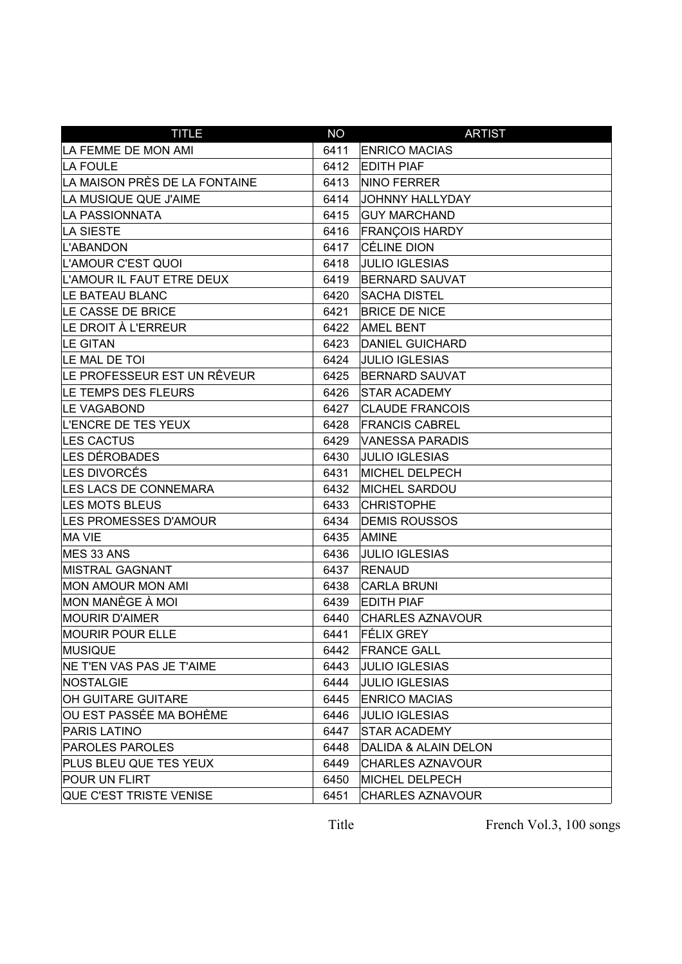| <b>TITLE</b>                     | <b>NO</b> | <b>ARTIST</b>           |
|----------------------------------|-----------|-------------------------|
| LA FEMME DE MON AMI              | 6411      | <b>ENRICO MACIAS</b>    |
| LA FOULE                         | 6412      | <b>EDITH PIAF</b>       |
| LA MAISON PRÈS DE LA FONTAINE    | 6413      | NINO FERRER             |
| LA MUSIQUE QUE J'AIME            | 6414      | <b>JOHNNY HALLYDAY</b>  |
| LA PASSIONNATA                   | 6415      | <b>GUY MARCHAND</b>     |
| LA SIESTE                        | 6416      | <b>FRANÇOIS HARDY</b>   |
| L'ABANDON                        | 6417      | <b>CÉLINE DION</b>      |
| L'AMOUR C'EST QUOI               | 6418      | <b>JULIO IGLESIAS</b>   |
| L'AMOUR IL FAUT ETRE DEUX        | 6419      | <b>BERNARD SAUVAT</b>   |
| LE BATEAU BLANC                  | 6420      | <b>SACHA DISTEL</b>     |
| LE CASSE DE BRICE                | 6421      | <b>BRICE DE NICE</b>    |
| LE DROIT À L'ERREUR              | 6422      | <b>AMEL BENT</b>        |
| LE GITAN                         | 6423      | <b>DANIEL GUICHARD</b>  |
| LE MAL DE TOI                    | 6424      | <b>JULIO IGLESIAS</b>   |
| LE PROFESSEUR EST UN RÊVEUR      | 6425      | <b>BERNARD SAUVAT</b>   |
| LE TEMPS DES FLEURS              | 6426      | <b>STAR ACADEMY</b>     |
| <b>LE VAGABOND</b>               | 6427      | <b>CLAUDE FRANCOIS</b>  |
| L'ENCRE DE TES YEUX              | 6428      | <b>FRANCIS CABREL</b>   |
| LES CACTUS                       | 6429      | <b>VANESSA PARADIS</b>  |
| LES DÉROBADES                    | 6430      | <b>JULIO IGLESIAS</b>   |
| LES DIVORCÉS                     | 6431      | <b>MICHEL DELPECH</b>   |
| LES LACS DE CONNEMARA            | 6432      | <b>MICHEL SARDOU</b>    |
| <b>LES MOTS BLEUS</b>            | 6433      | <b>CHRISTOPHE</b>       |
| LES PROMESSES D'AMOUR            | 6434      | <b>DEMIS ROUSSOS</b>    |
| MA VIE                           | 6435      | <b>AMINE</b>            |
| MES 33 ANS                       | 6436      | <b>JULIO IGLESIAS</b>   |
| <b>MISTRAL GAGNANT</b>           | 6437      | <b>RENAUD</b>           |
| MON AMOUR MON AMI                | 6438      | <b>CARLA BRUNI</b>      |
| ∣MON MANÈGE À MOI                | 6439      | <b>EDITH PIAF</b>       |
| <b>MOURIR D'AIMER</b>            | 6440      | <b>CHARLES AZNAVOUR</b> |
| <b>MOURIR POUR ELLE</b>          | 6441      | <b>FÉLIX GREY</b>       |
| MUSIQUE                          | 6442      | <b>FRANCE GALL</b>      |
| <b>NE T'EN VAS PAS JE T'AIME</b> | 6443      | <b>JULIO IGLESIAS</b>   |
| NOSTALGIE                        | 6444      | <b>JULIO IGLESIAS</b>   |
| <b>OH GUITARE GUITARE</b>        | 6445      | <b>ENRICO MACIAS</b>    |
| OU EST PASSÉE MA BOHÈME          | 6446      | <b>JULIO IGLESIAS</b>   |
| <b>PARIS LATINO</b>              | 6447      | <b>STAR ACADEMY</b>     |
| <b>PAROLES PAROLES</b>           | 6448      | DALIDA & ALAIN DELON    |
| PLUS BLEU QUE TES YEUX           | 6449      | <b>CHARLES AZNAVOUR</b> |
| POUR UN FLIRT                    | 6450      | <b>MICHEL DELPECH</b>   |
| QUE C'EST TRISTE VENISE          | 6451      | <b>CHARLES AZNAVOUR</b> |

French Vol.3, 100 songs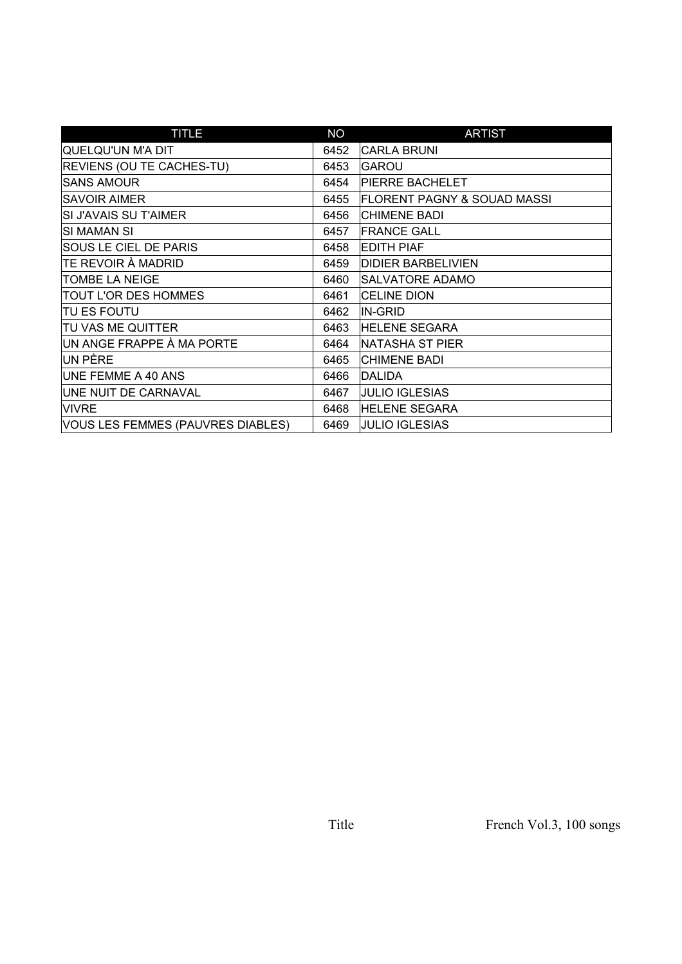| <b>TITLE</b>                      | <b>NO</b> | <b>ARTIST</b>                          |
|-----------------------------------|-----------|----------------------------------------|
| QUELQU'UN M'A DIT                 | 6452      | <b>CARLA BRUNI</b>                     |
| <b>REVIENS (OU TE CACHES-TU)</b>  | 6453      | <b>GAROU</b>                           |
| <b>SANS AMOUR</b>                 | 6454      | <b>PIERRE BACHELET</b>                 |
| <b>SAVOIR AIMER</b>               | 6455      | <b>FLORENT PAGNY &amp; SOUAD MASSI</b> |
| SI J'AVAIS SU T'AIMER             | 6456      | <b>CHIMENE BADI</b>                    |
| ISI MAMAN SI                      | 6457      | <b>FRANCE GALL</b>                     |
| <b>SOUS LE CIEL DE PARIS</b>      | 6458      | <b>EDITH PIAF</b>                      |
| TE REVOIR À MADRID                | 6459      | <b>DIDIER BARBELIVIEN</b>              |
| TOMBE LA NEIGE                    | 6460      | <b>SALVATORE ADAMO</b>                 |
| TOUT L'OR DES HOMMES              | 6461      | <b>CELINE DION</b>                     |
| TU ES FOUTU                       | 6462      | IN-GRID                                |
| TU VAS ME QUITTER                 | 6463      | <b>HELENE SEGARA</b>                   |
| UN ANGE FRAPPE À MA PORTE         | 6464      | NATASHA ST PIER                        |
| UN PÈRE                           | 6465      | <b>CHIMENE BADI</b>                    |
| UNE FEMME A 40 ANS                | 6466      | DALIDA                                 |
| UNE NUIT DE CARNAVAL              | 6467      | <b>JULIO IGLESIAS</b>                  |
| <b>VIVRE</b>                      | 6468      | <b>HELENE SEGARA</b>                   |
| VOUS LES FEMMES (PAUVRES DIABLES) | 6469      | <b>JULIO IGLESIAS</b>                  |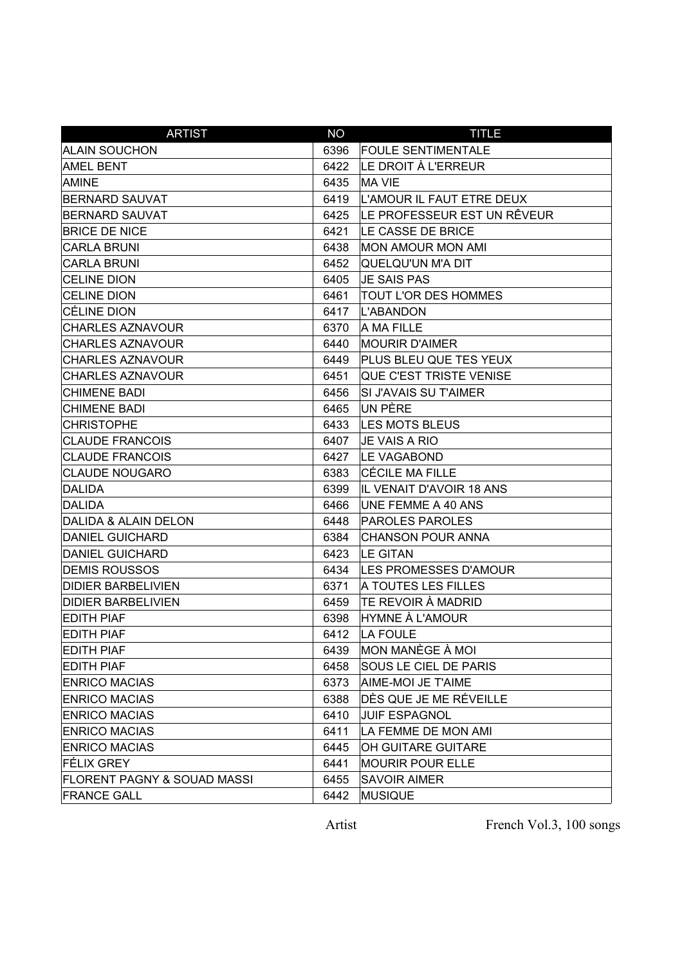| <b>ARTIST</b>                          | <b>NO</b> | <b>TITLE</b>                 |
|----------------------------------------|-----------|------------------------------|
| <b>ALAIN SOUCHON</b>                   | 6396      | <b>FOULE SENTIMENTALE</b>    |
| <b>AMEL BENT</b>                       | 6422      | LE DROIT À L'ERREUR          |
| AMINE                                  | 6435      | <b>MA VIE</b>                |
| <b>BERNARD SAUVAT</b>                  | 6419      | L'AMOUR IL FAUT ETRE DEUX    |
| <b>BERNARD SAUVAT</b>                  | 6425      | LE PROFESSEUR EST UN RÊVEUR  |
| <b>BRICE DE NICE</b>                   | 6421      | LE CASSE DE BRICE            |
| <b>CARLA BRUNI</b>                     | 6438      | <b>MON AMOUR MON AMI</b>     |
| <b>CARLA BRUNI</b>                     | 6452      | QUELQU'UN M'A DIT            |
| <b>CELINE DION</b>                     | 6405      | <b>JE SAIS PAS</b>           |
| <b>CELINE DION</b>                     | 6461      | TOUT L'OR DES HOMMES         |
| <b>CÉLINE DION</b>                     | 6417      | L'ABANDON                    |
| <b>CHARLES AZNAVOUR</b>                | 6370      | A MA FILLE                   |
| <b>CHARLES AZNAVOUR</b>                | 6440      | <b>MOURIR D'AIMER</b>        |
| <b>CHARLES AZNAVOUR</b>                | 6449      | PLUS BLEU QUE TES YEUX       |
| <b>CHARLES AZNAVOUR</b>                | 6451      | QUE C'EST TRISTE VENISE      |
| <b>CHIMENE BADI</b>                    | 6456      | SI J'AVAIS SU T'AIMER        |
| <b>CHIMENE BADI</b>                    | 6465      | UN PÈRE                      |
| <b>CHRISTOPHE</b>                      | 6433      | <b>LES MOTS BLEUS</b>        |
| <b>CLAUDE FRANCOIS</b>                 | 6407      | <b>JE VAIS A RIO</b>         |
| <b>CLAUDE FRANCOIS</b>                 | 6427      | LE VAGABOND                  |
| <b>CLAUDE NOUGARO</b>                  | 6383      | CÉCILE MA FILLE              |
| DALIDA                                 | 6399      | IL VENAIT D'AVOIR 18 ANS     |
| DALIDA                                 | 6466      | UNE FEMME A 40 ANS           |
| DALIDA & ALAIN DELON                   | 6448      | <b>PAROLES PAROLES</b>       |
| <b>DANIEL GUICHARD</b>                 | 6384      | CHANSON POUR ANNA            |
| <b>DANIEL GUICHARD</b>                 | 6423      | <b>LE GITAN</b>              |
| <b>DEMIS ROUSSOS</b>                   | 6434      | LES PROMESSES D'AMOUR        |
| <b>DIDIER BARBELIVIEN</b>              | 6371      | A TOUTES LES FILLES          |
| <b>DIDIER BARBELIVIEN</b>              | 6459      | TE REVOIR À MADRID           |
| <b>EDITH PIAF</b>                      | 6398      | <b>HYMNE À L'AMOUR</b>       |
| <b>EDITH PIAF</b>                      | 6412      | LA FOULE                     |
| <b>EDITH PIAF</b>                      | 6439      | MON MANÈGE À MOI             |
| <b>EDITH PIAF</b>                      | 6458      | <b>SOUS LE CIEL DE PARIS</b> |
| <b>ENRICO MACIAS</b>                   | 6373      | AIME-MOI JE T'AIME           |
| <b>ENRICO MACIAS</b>                   | 6388      | DÈS QUE JE ME RÉVEILLE       |
| <b>ENRICO MACIAS</b>                   | 6410      | <b>JUIF ESPAGNOL</b>         |
| <b>ENRICO MACIAS</b>                   | 6411      | LA FEMME DE MON AMI          |
| <b>ENRICO MACIAS</b>                   | 6445      | OH GUITARE GUITARE           |
| <b>FÉLIX GREY</b>                      | 6441      | <b>MOURIR POUR ELLE</b>      |
| <b>FLORENT PAGNY &amp; SOUAD MASSI</b> | 6455      | <b>SAVOIR AIMER</b>          |
| <b>FRANCE GALL</b>                     | 6442      | <b>MUSIQUE</b>               |

French Vol.3, 100 songs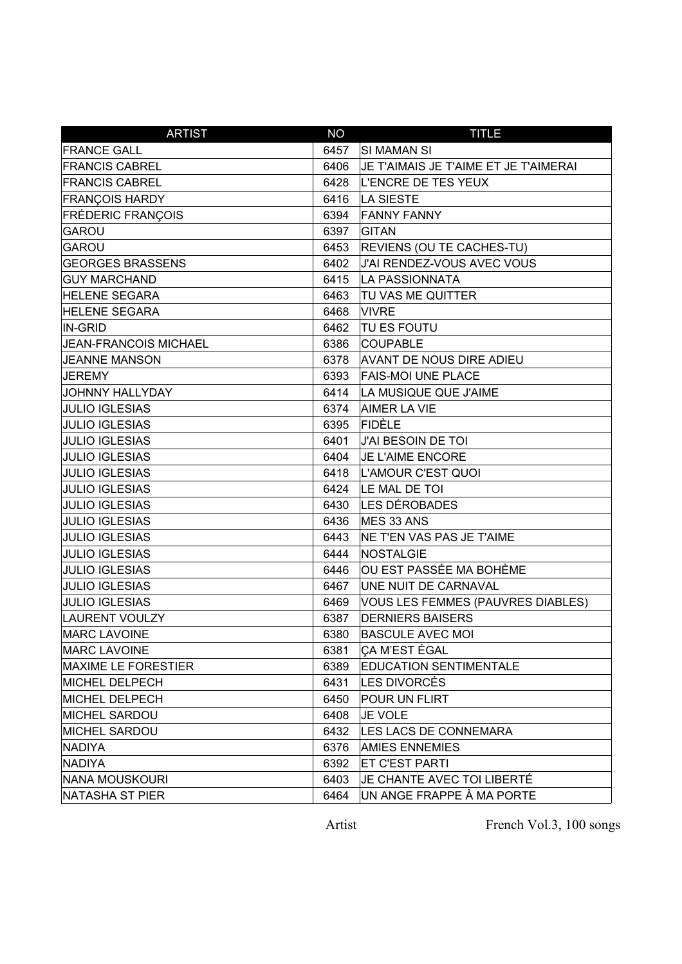| <b>ARTIST</b>            | <b>NO</b> | <b>TITLE</b>                          |
|--------------------------|-----------|---------------------------------------|
| <b>FRANCE GALL</b>       | 6457      | <b>SI MAMAN SI</b>                    |
| <b>FRANCIS CABREL</b>    | 6406      | JE T'AIMAIS JE T'AIME ET JE T'AIMERAI |
| <b>FRANCIS CABREL</b>    | 6428      | L'ENCRE DE TES YEUX                   |
| <b>FRANÇOIS HARDY</b>    | 6416      | <b>LA SIESTE</b>                      |
| <b>FRÉDERIC FRANÇOIS</b> | 6394      | <b>FANNY FANNY</b>                    |
| GAROU                    | 6397      | <b>GITAN</b>                          |
| GAROU                    | 6453      | <b>REVIENS (OU TE CACHES-TU)</b>      |
| <b>GEORGES BRASSENS</b>  | 6402      | J'AI RENDEZ-VOUS AVEC VOUS            |
| <b>GUY MARCHAND</b>      | 6415      | LA PASSIONNATA                        |
| <b>HELENE SEGARA</b>     | 6463      | TU VAS ME QUITTER                     |
| <b>HELENE SEGARA</b>     | 6468      | <b>VIVRE</b>                          |
| IN-GRID                  | 6462      | <b>TU ES FOUTU</b>                    |
| JEAN-FRANCOIS MICHAEL    | 6386      | <b>COUPABLE</b>                       |
| <b>JEANNE MANSON</b>     | 6378      | <b>AVANT DE NOUS DIRE ADIEU</b>       |
| <b>JEREMY</b>            | 6393      | <b>FAIS-MOI UNE PLACE</b>             |
| <b>JOHNNY HALLYDAY</b>   | 6414      | LA MUSIQUE QUE J'AIME                 |
| <b>JULIO IGLESIAS</b>    | 6374      | <b>AIMER LA VIE</b>                   |
| <b>JULIO IGLESIAS</b>    | 6395      | <b>FIDÈLE</b>                         |
| <b>JULIO IGLESIAS</b>    | 6401      | J'AI BESOIN DE TOI                    |
| <b>JULIO IGLESIAS</b>    | 6404      | JE L'AIME ENCORE                      |
| <b>JULIO IGLESIAS</b>    | 6418      | L'AMOUR C'EST QUOI                    |
| <b>JULIO IGLESIAS</b>    |           | 6424 LE MAL DE TOI                    |
| <b>JULIO IGLESIAS</b>    |           | 6430 LES DÉROBADES                    |
| <b>JULIO IGLESIAS</b>    | 6436      | MES 33 ANS                            |
| <b>JULIO IGLESIAS</b>    | 6443      | <b>NE T'EN VAS PAS JE T'AIME</b>      |
| <b>JULIO IGLESIAS</b>    | 6444      | NOSTALGIE                             |
| <b>JULIO IGLESIAS</b>    | 6446      | OU EST PASSÉE MA BOHÈME               |
| <b>JULIO IGLESIAS</b>    | 6467      | UNE NUIT DE CARNAVAL                  |
| <b>JULIO IGLESIAS</b>    | 6469      | VOUS LES FEMMES (PAUVRES DIABLES)     |
| LAURENT VOULZY           | 6387      | <b>DERNIERS BAISERS</b>               |
| <b>MARC LAVOINE</b>      | 6380      | <b>BASCULE AVEC MOI</b>               |
| <b>MARC LAVOINE</b>      | 6381      | CA M'EST ÉGAL                         |
| MAXIME LE FORESTIER      | 6389      | <b>EDUCATION SENTIMENTALE</b>         |
| MICHEL DELPECH           | 6431      | LES DIVORCÉS                          |
| MICHEL DELPECH           | 6450      | POUR UN FLIRT                         |
| MICHEL SARDOU            | 6408      | <b>JE VOLE</b>                        |
| <b>MICHEL SARDOU</b>     | 6432      | <b>LES LACS DE CONNEMARA</b>          |
| NADIYA                   | 6376      | <b>AMIES ENNEMIES</b>                 |
| NADIYA                   | 6392      | <b>ET C'EST PARTI</b>                 |
| NANA MOUSKOURI           | 6403      | JE CHANTE AVEC TOI LIBERTÉ            |
| NATASHA ST PIER          | 6464      | UN ANGE FRAPPE À MA PORTE             |

Artist French Vol.3, 100 songs